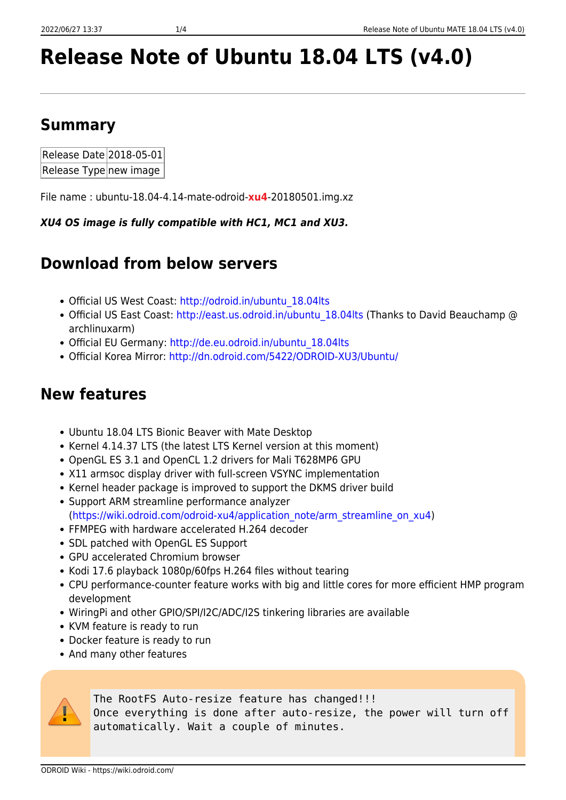# **Release Note of Ubuntu 18.04 LTS (v4.0)**

# **Summary**

| Release Date 2018-05-01 |  |
|-------------------------|--|
| Release Type new image  |  |

File name : ubuntu-18.04-4.14-mate-odroid-**xu4**-20180501.img.xz

*XU4 OS image is fully compatible with HC1, MC1 and XU3.*

# **Download from below servers**

- Official US West Coast: [http://odroid.in/ubuntu\\_18.04lts](http://odroid.in/ubuntu_18.04lts)
- Official US East Coast: http://east.us.odroid.in/ubuntu 18.04lts (Thanks to David Beauchamp @ archlinuxarm)
- Official EU Germany: [http://de.eu.odroid.in/ubuntu\\_18.04lts](http://de.eu.odroid.in/ubuntu_18.04lts)
- Official Korea Mirror: <http://dn.odroid.com/5422/ODROID-XU3/Ubuntu/>

# **New features**

- Ubuntu 18.04 LTS Bionic Beaver with Mate Desktop
- Kernel 4.14.37 LTS (the latest LTS Kernel version at this moment)
- OpenGL ES 3.1 and OpenCL 1.2 drivers for Mali T628MP6 GPU
- X11 armsoc display driver with full-screen VSYNC implementation
- Kernel header package is improved to support the DKMS driver build
- Support ARM streamline performance analyzer [\(https://wiki.odroid.com/odroid-xu4/application\\_note/arm\\_streamline\\_on\\_xu4\)](https://wiki.odroid.com/odroid-xu4/application_note/arm_streamline_on_xu4)
- FFMPEG with hardware accelerated H.264 decoder
- SDL patched with OpenGL ES Support
- GPU accelerated Chromium browser
- Kodi 17.6 playback 1080p/60fps H.264 files without tearing
- CPU performance-counter feature works with big and little cores for more efficient HMP program development
- WiringPi and other GPIO/SPI/I2C/ADC/I2S tinkering libraries are available
- KVM feature is ready to run
- Docker feature is ready to run
- And many other features



The RootFS Auto-resize feature has changed!!!

Once everything is done after auto-resize, the power will turn off automatically. Wait a couple of minutes.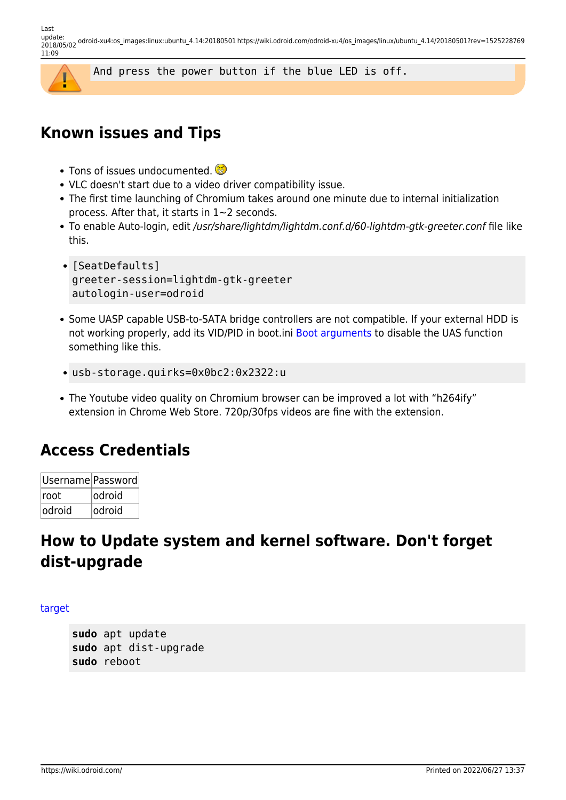Last<br>update: update: 2018/05/02 odroid-xu4:os\_images:linux:ubuntu\_4.14:20180501 https://wiki.odroid.com/odroid-xu4/os\_images/linux/ubuntu\_4.14/20180501?rev=1525228769 11:09



### **Known issues and Tips**

- Tons of issues undocumented.
- VLC doesn't start due to a video driver compatibility issue.
- The first time launching of Chromium takes around one minute due to internal initialization process. After that, it starts in 1~2 seconds.
- To enable Auto-login, edit /usr/share/lightdm/lightdm.conf.d/60-lightdm-gtk-greeter.conf file like this.
- [SeatDefaults] greeter-session=lightdm-gtk-greeter autologin-user=odroid
- Some UASP capable USB-to-SATA bridge controllers are not compatible. If your external HDD is not working properly, add its VID/PID in boot.ini [Boot arguments](https://github.com/mdrjr/5422_bootini/blob/4.14/boot.ini#L187) to disable the UAS function something like this.
- usb-storage.quirks=0x0bc2:0x2322:u
- The Youtube video quality on Chromium browser can be improved a lot with "h264ify" extension in Chrome Web Store. 720p/30fps videos are fine with the extension.

### **Access Credentials**

| Username Password |         |
|-------------------|---------|
| Iroot             | lodroid |
| lodroid           | lodroid |

# **How to Update system and kernel software. Don't forget dist-upgrade**

### [target](https://wiki.odroid.com/_export/code/odroid-xu4/os_images/linux/ubuntu_4.14/20180501?codeblock=2)

**sudo** apt update **sudo** apt dist-upgrade **sudo** reboot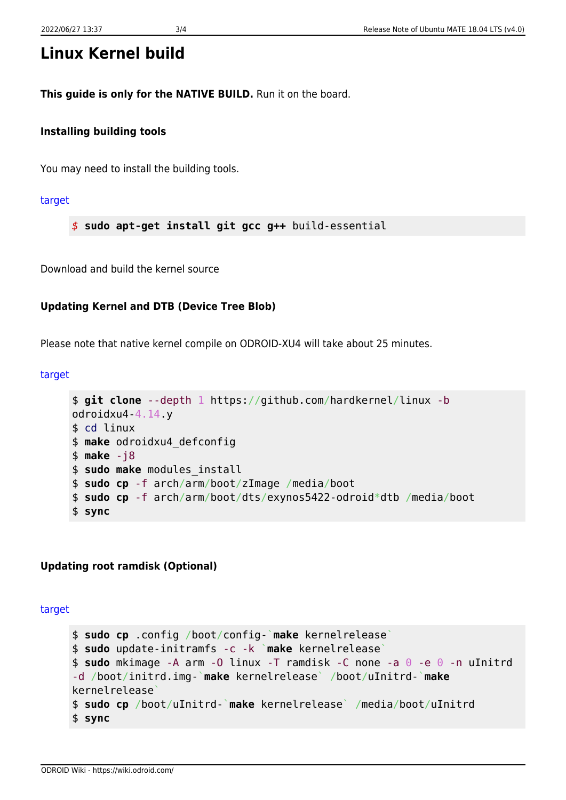# **Linux Kernel build**

**This guide is only for the NATIVE BUILD.** Run it on the board.

### **Installing building tools**

You may need to install the building tools.

[target](https://wiki.odroid.com/_export/code/odroid-xu4/os_images/linux/ubuntu_4.14/20180501?codeblock=3)

*\$* **sudo apt-get install git gcc g++** build-essential

Download and build the kernel source

### **Updating Kernel and DTB (Device Tree Blob)**

Please note that native kernel compile on ODROID-XU4 will take about 25 minutes.

#### [target](https://wiki.odroid.com/_export/code/odroid-xu4/os_images/linux/ubuntu_4.14/20180501?codeblock=4)

```
$ git clone --depth 1 https://github.com/hardkernel/linux -b
odroidxu4-4.14.y
$ cd linux
$ make odroidxu4_defconfig
$ make -j8
$ sudo make modules_install
$ sudo cp -f arch/arm/boot/zImage /media/boot
$ sudo cp -f arch/arm/boot/dts/exynos5422-odroid*dtb /media/boot
$ sync
```
### **Updating root ramdisk (Optional)**

[target](https://wiki.odroid.com/_export/code/odroid-xu4/os_images/linux/ubuntu_4.14/20180501?codeblock=5)

```
$ sudo cp .config /boot/config-`make kernelrelease`
$ sudo update-initramfs -c -k `make kernelrelease`
$ sudo mkimage -A arm -O linux -T ramdisk -C none -a 0 -e 0 -n uInitrd
-d /boot/initrd.img-`make kernelrelease` /boot/uInitrd-`make
kernelrelease`
$ sudo cp /boot/uInitrd-`make kernelrelease` /media/boot/uInitrd
$ sync
```